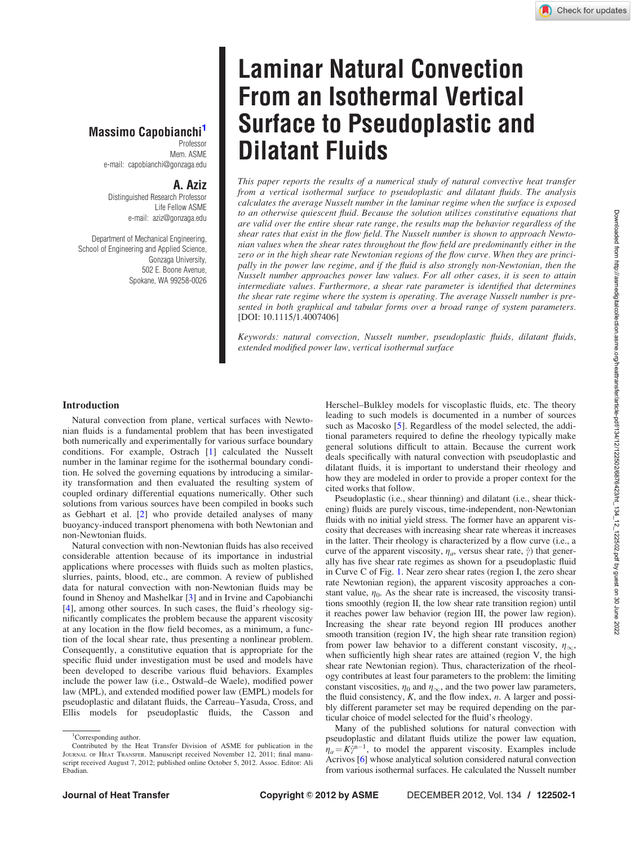# Dilatant Fluids

Laminar Natural Convection

From an Isothermal Vertical

Surface to Pseudoplastic and

This paper reports the results of a numerical study of natural convective heat transfer from a vertical isothermal surface to pseudoplastic and dilatant fluids. The analysis calculates the average Nusselt number in the laminar regime when the surface is exposed to an otherwise quiescent fluid. Because the solution utilizes constitutive equations that are valid over the entire shear rate range, the results map the behavior regardless of the shear rates that exist in the flow field. The Nusselt number is shown to approach Newtonian values when the shear rates throughout the flow field are predominantly either in the zero or in the high shear rate Newtonian regions of the flow curve. When they are principally in the power law regime, and if the fluid is also strongly non-Newtonian, then the Nusselt number approaches power law values. For all other cases, it is seen to attain intermediate values. Furthermore, a shear rate parameter is identified that determines the shear rate regime where the system is operating. The average Nusselt number is presented in both graphical and tabular forms over a broad range of system parameters. [DOI: 10.1115/1.4007406]

Keywords: natural convection, Nusselt number, pseudoplastic fluids, dilatant fluids, extended modified power law, vertical isothermal surface

# Introduction

Massimo Capobianchi<sup>1</sup>

e-mail: capobianchi@gonzaga.edu

Distinguished Research Professor

Department of Mechanical Engineering, School of Engineering and Applied Science,

Professor Mem. ASME

A. Aziz

Life Fellow ASME e-mail: aziz@gonzaga.edu

Gonzaga University, 502 E. Boone Avenue, Spokane, WA 99258-0026

Natural convection from plane, vertical surfaces with Newtonian fluids is a fundamental problem that has been investigated both numerically and experimentally for various surface boundary conditions. For example, Ostrach [[1](#page-8-0)] calculated the Nusselt number in the laminar regime for the isothermal boundary condition. He solved the governing equations by introducing a similarity transformation and then evaluated the resulting system of coupled ordinary differential equations numerically. Other such solutions from various sources have been compiled in books such as Gebhart et al. [\[2\]](#page-8-0) who provide detailed analyses of many buoyancy-induced transport phenomena with both Newtonian and non-Newtonian fluids.

Natural convection with non-Newtonian fluids has also received considerable attention because of its importance in industrial applications where processes with fluids such as molten plastics, slurries, paints, blood, etc., are common. A review of published data for natural convection with non-Newtonian fluids may be found in Shenoy and Mashelkar [[3](#page-8-0)] and in Irvine and Capobianchi [[4\]](#page-8-0), among other sources. In such cases, the fluid's rheology significantly complicates the problem because the apparent viscosity at any location in the flow field becomes, as a minimum, a function of the local shear rate, thus presenting a nonlinear problem. Consequently, a constitutive equation that is appropriate for the specific fluid under investigation must be used and models have been developed to describe various fluid behaviors. Examples include the power law (i.e., Ostwald–de Waele), modified power law (MPL), and extended modified power law (EMPL) models for pseudoplastic and dilatant fluids, the Carreau–Yasuda, Cross, and Ellis models for pseudoplastic fluids, the Casson and

Herschel–Bulkley models for viscoplastic fluids, etc. The theory leading to such models is documented in a number of sources such as Macosko [[5](#page-8-0)]. Regardless of the model selected, the additional parameters required to define the rheology typically make general solutions difficult to attain. Because the current work deals specifically with natural convection with pseudoplastic and dilatant fluids, it is important to understand their rheology and how they are modeled in order to provide a proper context for the cited works that follow.

Pseudoplastic (i.e., shear thinning) and dilatant (i.e., shear thickening) fluids are purely viscous, time-independent, non-Newtonian fluids with no initial yield stress. The former have an apparent viscosity that decreases with increasing shear rate whereas it increases in the latter. Their rheology is characterized by a flow curve (i.e., a curve of the apparent viscosity,  $\eta_a$ , versus shear rate,  $\dot{\gamma}$ ) that generally has five shear rate regimes as shown for a pseudoplastic fluid in Curve C of Fig. [1.](#page-1-0) Near zero shear rates (region I, the zero shear rate Newtonian region), the apparent viscosity approaches a constant value,  $\eta_0$ . As the shear rate is increased, the viscosity transitions smoothly (region II, the low shear rate transition region) until it reaches power law behavior (region III, the power law region). Increasing the shear rate beyond region III produces another smooth transition (region IV, the high shear rate transition region) from power law behavior to a different constant viscosity,  $\eta_{\infty}$ , when sufficiently high shear rates are attained (region V, the high shear rate Newtonian region). Thus, characterization of the rheology contributes at least four parameters to the problem: the limiting constant viscosities,  $\eta_0$  and  $\eta_{\infty}$ , and the two power law parameters, the fluid consistency,  $K$ , and the flow index,  $n$ . A larger and possibly different parameter set may be required depending on the particular choice of model selected for the fluid's rheology.

Many of the published solutions for natural convection with pseudoplastic and dilatant fluids utilize the power law equation,  $\eta_a = K\gamma^{n-1}$ , to model the apparent viscosity. Examples include Acrivos [\[6](#page-8-0)] whose analytical solution considered natural convection from various isothermal surfaces. He calculated the Nusselt number

<sup>&</sup>lt;sup>1</sup>Corresponding author. Contributed by the Heat Transfer Division of ASME for publication in the JOURNAL OF HEAT TRANSFER. Manuscript received November 12, 2011; final manuscript received August 7, 2012; published online October 5, 2012. Assoc. Editor: Ali Ebadian.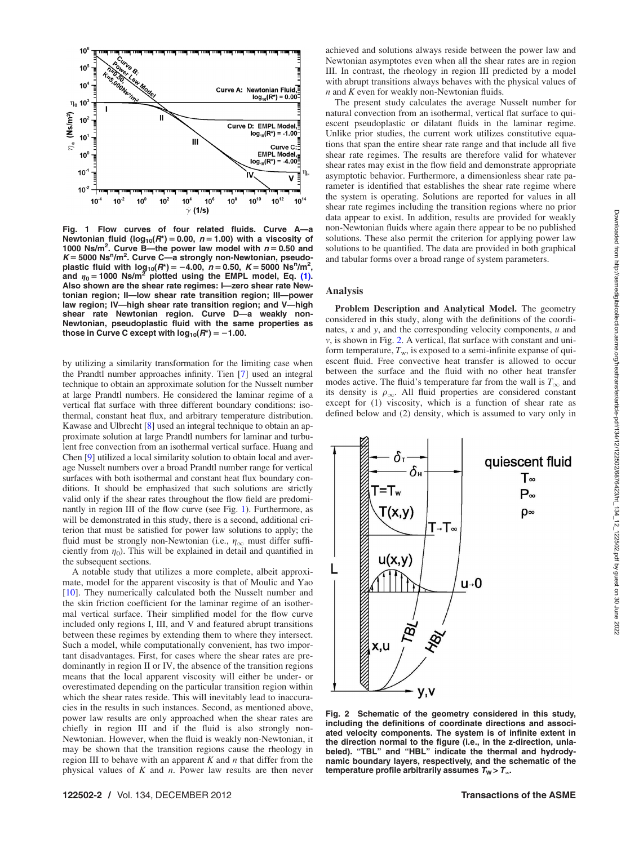<span id="page-1-0"></span>

Fig. 1 Flow curves of four related fluids. Curve A—a Newtonian fluid ( $log_{10}(R^*)$  = 0.00, n = 1.00) with a viscosity of 1000 Ns/m<sup>2</sup>. Curve B—the power law model with  $n = 0.50$  and  $K = 5000$  Ns<sup>n</sup>/m<sup>2</sup>. Curve C—a strongly non-Newtonian, pseudoplastic fluid with  $log_{10}(R^*) = -4.00$ ,  $n = 0.50$ ,  $K = 5000$  Ns<sup>n</sup>/m<sup>2</sup>, and  $\eta_0 = 1000 \text{ Ns/m}^2$  plotted using the EMPL model, Eq. [\(1\).](#page-2-0) Also shown are the shear rate regimes: I—zero shear rate Newtonian region; II—low shear rate transition region; III—power law region; IV—high shear rate transition region; and V—high shear rate Newtonian region. Curve D—a weakly non-Newtonian, pseudoplastic fluid with the same properties as those in Curve C except with  $log_{10}(R^*) = -1.00$ .

by utilizing a similarity transformation for the limiting case when the Prandtl number approaches infinity. Tien [[7](#page-8-0)] used an integral technique to obtain an approximate solution for the Nusselt number at large Prandtl numbers. He considered the laminar regime of a vertical flat surface with three different boundary conditions: isothermal, constant heat flux, and arbitrary temperature distribution. Kawase and Ulbrecht [\[8](#page-8-0)] used an integral technique to obtain an approximate solution at large Prandtl numbers for laminar and turbulent free convection from an isothermal vertical surface. Huang and Chen [[9](#page-8-0)] utilized a local similarity solution to obtain local and average Nusselt numbers over a broad Prandtl number range for vertical surfaces with both isothermal and constant heat flux boundary conditions. It should be emphasized that such solutions are strictly valid only if the shear rates throughout the flow field are predominantly in region III of the flow curve (see Fig. 1). Furthermore, as will be demonstrated in this study, there is a second, additional criterion that must be satisfied for power law solutions to apply; the fluid must be strongly non-Newtonian (i.e.,  $\eta_{\infty}$  must differ sufficiently from  $\eta_0$ ). This will be explained in detail and quantified in the subsequent sections.

A notable study that utilizes a more complete, albeit approximate, model for the apparent viscosity is that of Moulic and Yao [[10](#page-8-0)]. They numerically calculated both the Nusselt number and the skin friction coefficient for the laminar regime of an isothermal vertical surface. Their simplified model for the flow curve included only regions I, III, and V and featured abrupt transitions between these regimes by extending them to where they intersect. Such a model, while computationally convenient, has two important disadvantages. First, for cases where the shear rates are predominantly in region II or IV, the absence of the transition regions means that the local apparent viscosity will either be under- or overestimated depending on the particular transition region within which the shear rates reside. This will inevitably lead to inaccuracies in the results in such instances. Second, as mentioned above, power law results are only approached when the shear rates are chiefly in region III and if the fluid is also strongly non-Newtonian. However, when the fluid is weakly non-Newtonian, it may be shown that the transition regions cause the rheology in region III to behave with an apparent  $K$  and  $n$  that differ from the physical values of  $K$  and  $n$ . Power law results are then never

The present study calculates the average Nusselt number for natural convection from an isothermal, vertical flat surface to quiescent pseudoplastic or dilatant fluids in the laminar regime. Unlike prior studies, the current work utilizes constitutive equations that span the entire shear rate range and that include all five shear rate regimes. The results are therefore valid for whatever shear rates may exist in the flow field and demonstrate appropriate asymptotic behavior. Furthermore, a dimensionless shear rate parameter is identified that establishes the shear rate regime where the system is operating. Solutions are reported for values in all shear rate regimes including the transition regions where no prior data appear to exist. In addition, results are provided for weakly non-Newtonian fluids where again there appear to be no published solutions. These also permit the criterion for applying power law solutions to be quantified. The data are provided in both graphical and tabular forms over a broad range of system parameters.

#### Analysis

Problem Description and Analytical Model. The geometry considered in this study, along with the definitions of the coordinates,  $x$  and  $y$ , and the corresponding velocity components,  $u$  and  $v$ , is shown in Fig. 2. A vertical, flat surface with constant and uniform temperature,  $T_w$ , is exposed to a semi-infinite expanse of quiescent fluid. Free convective heat transfer is allowed to occur between the surface and the fluid with no other heat transfer modes active. The fluid's temperature far from the wall is  $T_{\infty}$  and its density is  $\rho_{\infty}$ . All fluid properties are considered constant except for (1) viscosity, which is a function of shear rate as defined below and (2) density, which is assumed to vary only in



Fig. 2 Schematic of the geometry considered in this study, including the definitions of coordinate directions and associated velocity components. The system is of infinite extent in the direction normal to the figure (i.e., in the z-direction, unlabeled). "TBL" and "HBL" indicate the thermal and hydrodynamic boundary layers, respectively, and the schematic of the temperature profile arbitrarily assumes  $T_w > T_w$ .

Downloaded from http://asmedigitalcollection.asme.org/heattransfer/article-pdf/134/12/122502/6876423/ht\_134\_12\_122502.pdf by guest on 30 June 2022

Downloaded from http://asmedigitalcollection.asme.org/heattransfer/article-pdf/134/122502/6876423/ht\_134\_12\_122502.pdf by guest on 30 June 2022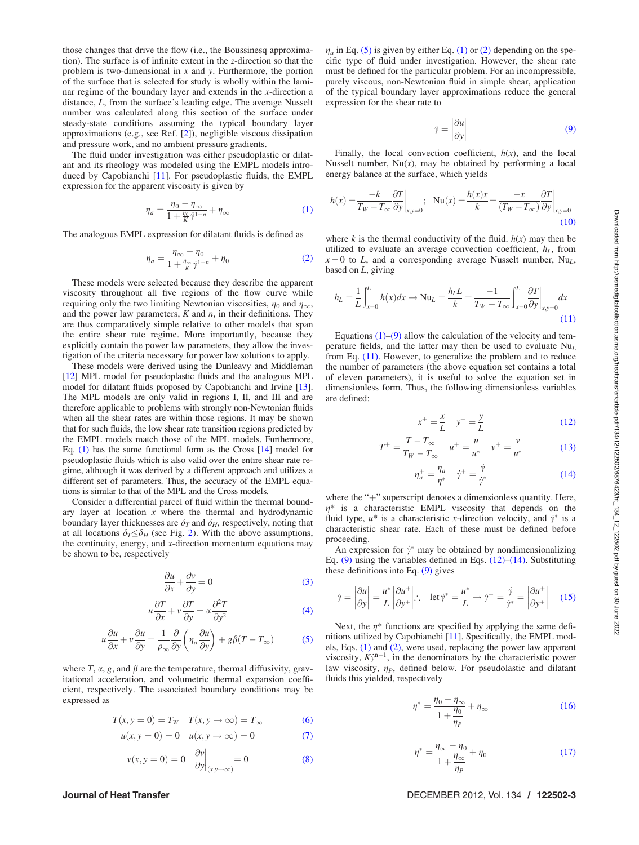<span id="page-2-0"></span>those changes that drive the flow (i.e., the Boussinesq approximation). The surface is of infinite extent in the z-direction so that the problem is two-dimensional in  $x$  and  $y$ . Furthermore, the portion of the surface that is selected for study is wholly within the laminar regime of the boundary layer and extends in the x-direction a distance, L, from the surface's leading edge. The average Nusselt number was calculated along this section of the surface under steady-state conditions assuming the typical boundary layer approximations (e.g., see Ref. [\[2\]](#page-8-0)), negligible viscous dissipation and pressure work, and no ambient pressure gradients.

The fluid under investigation was either pseudoplastic or dilatant and its rheology was modeled using the EMPL models introduced by Capobianchi [[11\]](#page-8-0). For pseudoplastic fluids, the EMPL expression for the apparent viscosity is given by

$$
\eta_a = \frac{\eta_0 - \eta_\infty}{1 + \frac{\eta_0}{K} \dot{\gamma}^{1-n}} + \eta_\infty \tag{1}
$$

The analogous EMPL expression for dilatant fluids is defined as

$$
\eta_a = \frac{\eta_{\infty} - \eta_0}{1 + \frac{\eta_{\infty}}{K} \dot{\gamma}^{1-n}} + \eta_0 \tag{2}
$$

These models were selected because they describe the apparent viscosity throughout all five regions of the flow curve while requiring only the two limiting Newtonian viscosities,  $\eta_0$  and  $\eta_{\infty}$ , and the power law parameters,  $K$  and  $n$ , in their definitions. They are thus comparatively simple relative to other models that span the entire shear rate regime. More importantly, because they explicitly contain the power law parameters, they allow the investigation of the criteria necessary for power law solutions to apply.

These models were derived using the Dunleavy and Middleman [[12\]](#page-8-0) MPL model for pseudoplastic fluids and the analogous MPL model for dilatant fluids proposed by Capobianchi and Irvine [\[13\]](#page-8-0). The MPL models are only valid in regions I, II, and III and are therefore applicable to problems with strongly non-Newtonian fluids when all the shear rates are within those regions. It may be shown that for such fluids, the low shear rate transition regions predicted by the EMPL models match those of the MPL models. Furthermore, Eq. (1) has the same functional form as the Cross [\[14](#page-8-0)] model for pseudoplastic fluids which is also valid over the entire shear rate regime, although it was derived by a different approach and utilizes a different set of parameters. Thus, the accuracy of the EMPL equations is similar to that of the MPL and the Cross models.

Consider a differential parcel of fluid within the thermal boundary layer at location  $x$  where the thermal and hydrodynamic boundary layer thicknesses are  $\delta_T$  and  $\delta_H$ , respectively, noting that at all locations  $\delta_T \leq \delta_H$  (see Fig. [2\)](#page-1-0). With the above assumptions, the continuity, energy, and  $x$ -direction momentum equations may be shown to be, respectively

$$
\frac{\partial u}{\partial x} + \frac{\partial v}{\partial y} = 0\tag{3}
$$

$$
u\frac{\partial T}{\partial x} + v\frac{\partial T}{\partial y} = \alpha \frac{\partial^2 T}{\partial y^2}
$$
 (4)

$$
u\frac{\partial u}{\partial x} + v\frac{\partial u}{\partial y} = \frac{1}{\rho_{\infty}}\frac{\partial}{\partial y}\left(\eta_a \frac{\partial u}{\partial y}\right) + g\beta(T - T_{\infty})
$$
 (5)

where T,  $\alpha$ , g, and  $\beta$  are the temperature, thermal diffusivity, gravitational acceleration, and volumetric thermal expansion coefficient, respectively. The associated boundary conditions may be expressed as

$$
T(x, y = 0) = T_W \quad T(x, y \to \infty) = T_{\infty} \tag{6}
$$

$$
u(x, y = 0) = 0
$$
  $u(x, y \to \infty) = 0$  (7)

$$
v(x, y = 0) = 0 \quad \frac{\partial v}{\partial y}\Big|_{(x, y \to \infty)} = 0 \tag{8}
$$

 $\eta_a$  in Eq. (5) is given by either Eq. (1) or (2) depending on the specific type of fluid under investigation. However, the shear rate must be defined for the particular problem. For an incompressible, purely viscous, non-Newtonian fluid in simple shear, application of the typical boundary layer approximations reduce the general expression for the shear rate to

$$
\dot{\gamma} = \left| \frac{\partial u}{\partial y} \right| \tag{9}
$$

Finally, the local convection coefficient,  $h(x)$ , and the local Nusselt number,  $Nu(x)$ , may be obtained by performing a local energy balance at the surface, which yields

$$
h(x) = \frac{-k}{T_W - T_{\infty}} \frac{\partial T}{\partial y}\Big|_{x, y = 0}; \quad \mathbf{Nu}(x) = \frac{h(x)x}{k} = \frac{-x}{(T_W - T_{\infty})} \frac{\partial T}{\partial y}\Big|_{x, y = 0}
$$
\n(10)

where k is the thermal conductivity of the fluid.  $h(x)$  may then be utilized to evaluate an average convection coefficient,  $h_l$ , from  $x = 0$  to L, and a corresponding average Nusselt number, Nu<sub>L</sub>, based on L, giving

$$
h_L = \frac{1}{L} \int_{x=0}^{L} h(x)dx \to \text{Nu}_L = \frac{h_L L}{k} = \frac{-1}{T_W - T_{\infty}} \int_{x=0}^{L} \frac{\partial T}{\partial y} \Big|_{x,y=0} dx
$$
\n(11)

Equations  $(1)$ – $(9)$  allow the calculation of the velocity and temperature fields, and the latter may then be used to evaluate  $Nu<sub>L</sub>$ from Eq. (11). However, to generalize the problem and to reduce the number of parameters (the above equation set contains a total of eleven parameters), it is useful to solve the equation set in dimensionless form. Thus, the following dimensionless variables are defined:

$$
x^+ = \frac{x}{L} \quad y^+ = \frac{y}{L} \tag{12}
$$

$$
T^{+} = \frac{T - T_{\infty}}{T_{W} - T_{\infty}} \quad u^{+} = \frac{u}{u^{*}} \quad v^{+} = \frac{v}{u^{*}}
$$
(13)

$$
\eta_a^+ = \frac{\eta_a}{\eta^*} \quad \dot{\gamma}^+ = \frac{\dot{\gamma}}{\dot{\gamma}^*} \tag{14}
$$

where the " $+$ " superscript denotes a dimensionless quantity. Here,  $\eta^*$  is a characteristic EMPL viscosity that depends on the fluid type,  $u^*$  is a characteristic x-direction velocity, and  $\dot{y}^*$  is a characteristic shear rate. Each of these must be defined before proceeding.

An expression for  $\dot{\gamma}^*$  may be obtained by nondimensionalizing Eq.  $(9)$  using the variables defined in Eqs.  $(12)$ – $(14)$ . Substituting these definitions into Eq.  $(9)$  gives

$$
\dot{\gamma} = \left| \frac{\partial u}{\partial y} \right| = \frac{u^*}{L} \left| \frac{\partial u^+}{\partial y^+} \right| \therefore \quad \det \dot{\gamma}^* = \frac{u^*}{L} \to \dot{\gamma}^+ = \frac{\dot{\gamma}}{\dot{\gamma}^*} = \left| \frac{\partial u^+}{\partial y^+} \right| \tag{15}
$$

Next, the  $\eta^*$  functions are specified by applying the same definitions utilized by Capobianchi [\[11](#page-8-0)]. Specifically, the EMPL models, Eqs. (1) and (2), were used, replacing the power law apparent viscosity,  $K\dot{\gamma}^{n-1}$ , in the denominators by the characteristic power law viscosity,  $\eta_P$ , defined below. For pseudolastic and dilatant fluids this yielded, respectively

$$
\eta^* = \frac{\eta_0 - \eta_\infty}{1 + \frac{\eta_0}{\eta_P}} + \eta_\infty \tag{16}
$$

$$
\eta^* = \frac{\eta_{\infty} - \eta_0}{1 + \frac{\eta_{\infty}}{\eta_P}} + \eta_0 \tag{17}
$$

## Journal of Heat Transfer DECEMBER 2012, Vol. 134 / 122502-3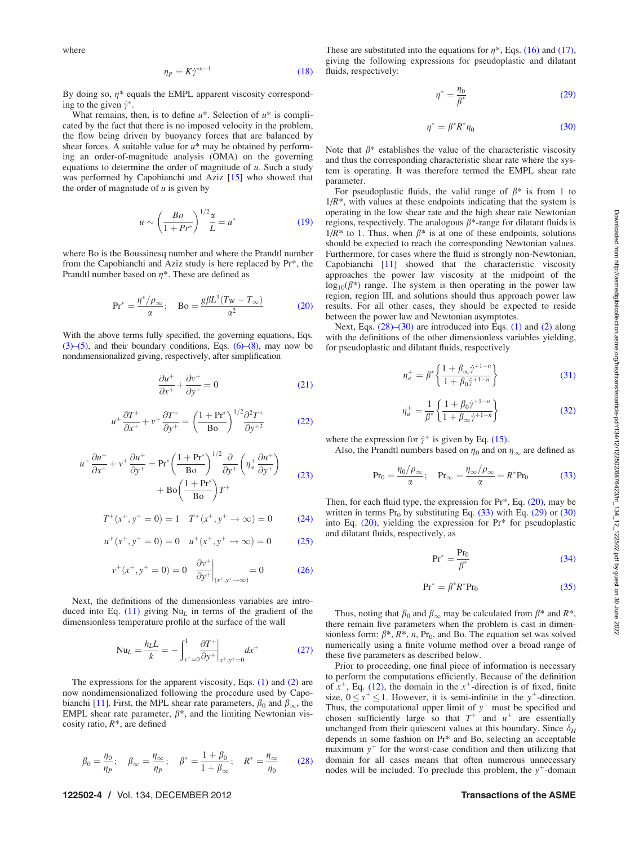<span id="page-3-0"></span>where

$$
\eta_P = K \dot{\gamma}^{*n-1} \tag{18}
$$

By doing so,  $\eta^*$  equals the EMPL apparent viscosity corresponding to the given  $\dot{\gamma}^*$ .

What remains, then, is to define  $u^*$ . Selection of  $u^*$  is complicated by the fact that there is no imposed velocity in the problem, the flow being driven by buoyancy forces that are balanced by shear forces. A suitable value for  $u^*$  may be obtained by performing an order-of-magnitude analysis (OMA) on the governing equations to determine the order of magnitude of  $u$ . Such a study was performed by Capobianchi and Aziz [[15\]](#page-8-0) who showed that the order of magnitude of  $u$  is given by

$$
u \sim \left(\frac{Bo}{1 + Pr^*}\right)^{1/2} \frac{\alpha}{L} = u^*
$$
 (19)

where Bo is the Boussinesq number and where the Prandtl number from the Capobianchi and Aziz study is here replaced by Pr\*, the Prandtl number based on  $\eta^*$ . These are defined as

$$
Pr^* = \frac{\eta^*/\rho_{\infty}}{\alpha}; \quad Bo = \frac{g\beta L^3(T_W - T_{\infty})}{\alpha^2}
$$
 (20)

With the above terms fully specified, the governing equations, Eqs.  $(3)$ –(5), and their boundary conditions, Eqs.  $(6)$ – $(8)$ , may now be nondimensionalized giving, respectively, after simplification

$$
\frac{\partial u^+}{\partial x^+} + \frac{\partial v^+}{\partial y^+} = 0\tag{21}
$$

$$
u^{+} \frac{\partial T^{+}}{\partial x^{+}} + v^{+} \frac{\partial T^{+}}{\partial y^{+}} = \left(\frac{1 + \text{Pr}^{*}}{\text{Bo}}\right)^{1/2} \frac{\partial^{2} T^{+}}{\partial y^{+2}}
$$
(22)

$$
u^{+} \frac{\partial u^{+}}{\partial x^{+}} + v^{+} \frac{\partial u^{+}}{\partial y^{+}} = \text{Pr}^{*} \left( \frac{1 + \text{Pr}^{*}}{\text{Bo}} \right)^{1/2} \frac{\partial}{\partial y^{+}} \left( \eta_{a}^{+} \frac{\partial u^{+}}{\partial y^{+}} \right) + \text{Bo} \left( \frac{1 + \text{Pr}^{*}}{\text{Bo}} \right) T^{+}
$$
(23)

$$
T^{+}(x^{+}, y^{+} = 0) = 1 \quad T^{+}(x^{+}, y^{+} \to \infty) = 0 \tag{24}
$$

$$
u^+(x^+, y^+ = 0) = 0 \quad u^+(x^+, y^+ \to \infty) = 0 \tag{25}
$$

$$
v^+(x^+, y^+ = 0) = 0
$$
  $\frac{\partial v^+}{\partial y^+}\Big|_{(x^+, y^+ \to \infty)} = 0$  (26)

Next, the definitions of the dimensionless variables are introduced into Eq.  $(11)$  giving Nu<sub>L</sub> in terms of the gradient of the dimensionless temperature profile at the surface of the wall

$$
Nu_{L} = \frac{h_{L}L}{k} = -\int_{x^{+}=0}^{1} \frac{\partial T^{+}}{\partial y^{+}} \bigg|_{x^{+}, y^{+}=0} dx^{+}
$$
 (27)

The expressions for the apparent viscosity, Eqs. [\(1\)](#page-2-0) and [\(2\)](#page-2-0) are now nondimensionalized following the procedure used by Capo-bianchi [\[11](#page-8-0)]. First, the MPL shear rate parameters,  $\beta_0$  and  $\beta_{\infty}$ , the EMPL shear rate parameter,  $\beta^*$ , and the limiting Newtonian viscosity ratio,  $R^*$ , are defined

$$
\beta_0 = \frac{\eta_0}{\eta_P}; \quad \beta_\infty = \frac{\eta_\infty}{\eta_P}; \quad \beta^* = \frac{1 + \beta_0}{1 + \beta_\infty}; \quad R^* = \frac{\eta_\infty}{\eta_0} \qquad (28)
$$

122502-4 / Vol. 134, DECEMBER 2012 Transactions of the ASME

These are substituted into the equations for  $\eta^*$ , Eqs. [\(16\)](#page-2-0) and [\(17\),](#page-2-0) giving the following expressions for pseudoplastic and dilatant fluids, respectively:

$$
\eta^* = \frac{\eta_0}{\beta^*} \tag{29}
$$

$$
\eta^* = \beta^* R^* \eta_0 \tag{30}
$$

Note that  $\beta^*$  establishes the value of the characteristic viscosity and thus the corresponding characteristic shear rate where the system is operating. It was therefore termed the EMPL shear rate parameter.

For pseudoplastic fluids, the valid range of  $\beta^*$  is from 1 to  $1/R^*$ , with values at these endpoints indicating that the system is operating in the low shear rate and the high shear rate Newtonian regions, respectively. The analogous  $\beta^*$ -range for dilatant fluids is  $1/R^*$  to 1. Thus, when  $\beta^*$  is at one of these endpoints, solutions should be expected to reach the corresponding Newtonian values. Furthermore, for cases where the fluid is strongly non-Newtonian, Capobianchi [\[11](#page-8-0)] showed that the characteristic viscosity approaches the power law viscosity at the midpoint of the  $log_{10}(\beta^*)$  range. The system is then operating in the power law region, region III, and solutions should thus approach power law results. For all other cases, they should be expected to reside between the power law and Newtonian asymptotes.

Next, Eqs.  $(28)$ – $(30)$  are introduced into Eqs.  $(1)$  and  $(2)$  along with the definitions of the other dimensionless variables yielding, for pseudoplastic and dilatant fluids, respectively

$$
\eta_a^+ = \beta^* \left\{ \frac{1 + \beta_\infty \dot{\gamma}^{+1-n}}{1 + \beta_0 \dot{\gamma}^{+1-n}} \right\} \tag{31}
$$

$$
\eta_a^+ = \frac{1}{\beta^*} \left\{ \frac{1 + \beta_0 \dot{\gamma}^{+1-n}}{1 + \beta_\infty \dot{\gamma}^{+1-n}} \right\} \tag{32}
$$

where the expression for  $\dot{\gamma}^+$  is given by Eq. [\(15\).](#page-2-0)

Also, the Prandtl numbers based on  $\eta_0$  and on  $\eta_\infty$  are defined as

$$
\Pr_0 = \frac{\eta_0/\rho_\infty}{\alpha}; \quad \Pr_\infty = \frac{\eta_\infty/\rho_\infty}{\alpha} = R^* \Pr_0 \tag{33}
$$

Then, for each fluid type, the expression for Pr\*, Eq. (20), may be written in terms  $Pr_0$  by substituting Eq. (33) with Eq. (29) or (30) into Eq. (20), yielding the expression for Pr\* for pseudoplastic and dilatant fluids, respectively, as

$$
Pr^* = \frac{Pr_0}{\beta^*} \tag{34}
$$

$$
Pr^* = \beta^* R^* Pr_0 \tag{35}
$$

Thus, noting that  $\beta_0$  and  $\beta_\infty$  may be calculated from  $\beta^*$  and  $R^*$ , there remain five parameters when the problem is cast in dimensionless form:  $\beta^*, R^*, n, Pr_0$ , and Bo. The equation set was solved numerically using a finite volume method over a broad range of these five parameters as described below.

Prior to proceeding, one final piece of information is necessary to perform the computations efficiently. Because of the definition of  $x^+$ , Eq. [\(12\),](#page-2-0) the domain in the  $x^+$ -direction is of fixed, finite size,  $0 \le x^+ \le 1$ . However, it is semi-infinite in the y<sup>+</sup>-direction. Thus, the computational upper limit of  $y^+$  must be specified and chosen sufficiently large so that  $T^+$  and  $u^+$  are essentially unchanged from their quiescent values at this boundary. Since  $\delta_H$ depends in some fashion on Pr\* and Bo, selecting an acceptable maximum  $y^+$  for the worst-case condition and then utilizing that domain for all cases means that often numerous unnecessary nodes will be included. To preclude this problem, the  $y^+$ -domain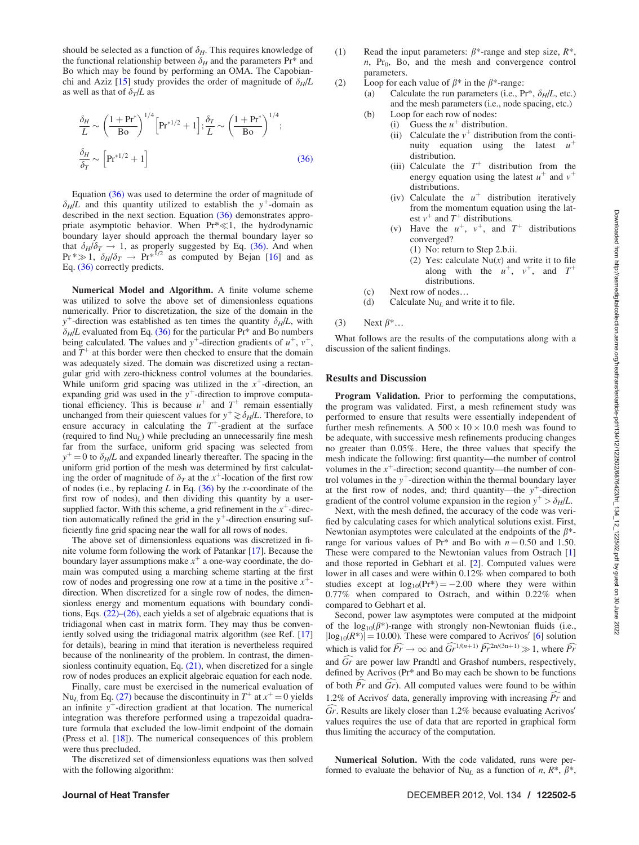should be selected as a function of  $\delta_H$ . This requires knowledge of the functional relationship between  $\delta_H$  and the parameters Pr\* and Bo which may be found by performing an OMA. The Capobian-chi and Aziz [\[15](#page-8-0)] study provides the order of magnitude of  $\delta_H/L$ as well as that of  $\delta_T/L$  as

$$
\frac{\delta_H}{L} \sim \left(\frac{1 + \Pr^*}{\text{Bo}}\right)^{1/4} \left[\Pr^{*1/2} + 1\right]; \frac{\delta_T}{L} \sim \left(\frac{1 + \Pr^*}{\text{Bo}}\right)^{1/4};
$$
\n
$$
\frac{\delta_H}{\delta_T} \sim \left[\Pr^{*1/2} + 1\right]
$$
\n(36)

Equation (36) was used to determine the order of magnitude of  $\delta_H/L$  and this quantity utilized to establish the y<sup>+</sup>-domain as described in the next section. Equation (36) demonstrates appropriate asymptotic behavior. When  $Pr^* \ll 1$ , the hydrodynamic boundary layer should approach the thermal boundary layer so that  $\delta_H/\delta_T \to 1$ , as properly suggested by Eq. (36). And when Pr  $*\gg 1$ ,  $\delta_H/\delta_T \to \text{Pr*}^{1/2}$  as computed by Bejan [\[16\]](#page-8-0) and as Eq. (36) correctly predicts.

Numerical Model and Algorithm. A finite volume scheme was utilized to solve the above set of dimensionless equations numerically. Prior to discretization, the size of the domain in the  $y^+$ -direction was established as ten times the quantity  $\delta_H/L$ , with  $\delta_H/L$  evaluated from Eq. (36) for the particular Pr\* and Bo numbers being calculated. The values and  $y^+$ -direction gradients of  $u^+$ ,  $v^+$ , and  $T^+$  at this border were then checked to ensure that the domain was adequately sized. The domain was discretized using a rectangular grid with zero-thickness control volumes at the boundaries. While uniform grid spacing was utilized in the  $x^+$ -direction, an expanding grid was used in the  $y^+$ -direction to improve computational efficiency. This is because  $u^+$  and  $T^+$  remain essentially unchanged from their quiescent values for  $y^+ \gtrsim \delta_H/L$ . Therefore, to ensure accuracy in calculating the  $T^+$ -gradient at the surface (required to find  $Nu<sub>L</sub>$ ) while precluding an unnecessarily fine mesh far from the surface, uniform grid spacing was selected from  $y^+=0$  to  $\delta_H/L$  and expanded linearly thereafter. The spacing in the uniform grid portion of the mesh was determined by first calculating the order of magnitude of  $\delta_T$  at the x<sup>+</sup>-location of the first row of nodes (i.e., by replacing L in Eq.  $(36)$  by the x-coordinate of the first row of nodes), and then dividing this quantity by a usersupplied factor. With this scheme, a grid refinement in the  $x^+$ -direction automatically refined the grid in the  $y^+$ -direction ensuring sufficiently fine grid spacing near the wall for all rows of nodes.

The above set of dimensionless equations was discretized in finite volume form following the work of Patankar [[17\]](#page-8-0). Because the boundary layer assumptions make  $x^+$  a one-way coordinate, the domain was computed using a marching scheme starting at the first row of nodes and progressing one row at a time in the positive  $x^+$ direction. When discretized for a single row of nodes, the dimensionless energy and momentum equations with boundary conditions, Eqs.  $(22)$ – $(26)$ , each yields a set of algebraic equations that is tridiagonal when cast in matrix form. They may thus be conveniently solved using the tridiagonal matrix algorithm (see Ref. [\[17](#page-8-0)] for details), bearing in mind that iteration is nevertheless required because of the nonlinearity of the problem. In contrast, the dimensionless continuity equation, Eq. [\(21\),](#page-3-0) when discretized for a single row of nodes produces an explicit algebraic equation for each node.

Finally, care must be exercised in the numerical evaluation of Nu<sub>L</sub> from Eq. [\(27\)](#page-3-0) because the discontinuity in  $T^+$  at  $x^+=0$  yields an infinite  $y^+$ -direction gradient at that location. The numerical integration was therefore performed using a trapezoidal quadrature formula that excluded the low-limit endpoint of the domain (Press et al. [[18\]](#page-8-0)). The numerical consequences of this problem were thus precluded.

The discretized set of dimensionless equations was then solved with the following algorithm:

- (1) Read the input parameters:  $\beta^*$ -range and step size,  $R^*$ ,  $n$ , Pr<sub>0</sub>, Bo, and the mesh and convergence control parameters.
- (2) Loop for each value of  $\beta^*$  in the  $\beta^*$ -range:
	- (a) Calculate the run parameters (i.e.,  $Pr^*$ ,  $\delta_H/L$ , etc.) and the mesh parameters (i.e., node spacing, etc.)
		- (b) Loop for each row of nodes:
			- (i) Guess the  $u^+$  distribution.
			- (ii) Calculate the  $v^+$  distribution from the continuity equation using the latest  $u^+$ distribution.
			- (iii) Calculate the  $T^+$  distribution from the energy equation using the latest  $u^+$  and  $v^+$ distributions.
			- (iv) Calculate the  $u^+$  distribution iteratively from the momentum equation using the latest  $v^+$  and  $T^+$  distributions.
			- (v) Have the  $u^+$ ,  $v^+$ , and  $T^+$  distributions converged?
				- (1) No: return to Step 2.b.ii.
				- (2) Yes: calculate  $Nu(x)$  and write it to file along with the  $u^+$ ,  $v^+$ , and  $T^+$ distributions.
		- (c) Next row of nodes…
		- (d) Calculate  $Nu<sub>L</sub>$  and write it to file.
- (3) Next  $\beta^*$ ...

What follows are the results of the computations along with a discussion of the salient findings.

# Results and Discussion

Program Validation. Prior to performing the computations, the program was validated. First, a mesh refinement study was performed to ensure that results were essentially independent of further mesh refinements. A  $500 \times 10 \times 10.0$  mesh was found to be adequate, with successive mesh refinements producing changes no greater than 0.05%. Here, the three values that specify the mesh indicate the following: first quantity—the number of control volumes in the  $x^+$ -direction; second quantity—the number of control volumes in the  $y^+$ -direction within the thermal boundary layer at the first row of nodes, and; third quantity—the  $y^+$ -direction gradient of the control volume expansion in the region  $y^+ > \delta_H/L$ .

Next, with the mesh defined, the accuracy of the code was verified by calculating cases for which analytical solutions exist. First, Newtonian asymptotes were calculated at the endpoints of the  $\beta^*$ range for various values of Pr<sup>\*</sup> and Bo with  $n = 0.50$  and 1.50. These were compared to the Newtonian values from Ostrach [\[1](#page-8-0)] and those reported in Gebhart et al. [\[2\]](#page-8-0). Computed values were lower in all cases and were within 0.12% when compared to both studies except at  $log_{10}(Pr^*) = -2.00$  where they were within 0.77% when compared to Ostrach, and within 0.22% when compared to Gebhart et al.

Second, power law asymptotes were computed at the midpoint of the  $log_{10}(\beta^*)$ -range with strongly non-Newtonian fluids (i.e.,  $|\log_{10}(R^*)| = 10.00$ ). These were compared to Acrivos' [[6](#page-8-0)] solution which is valid for  $\widehat{Pr} \to \infty$  and  $\widehat{Gr}^{1/(n+1)} \widehat{Pr}^{2n/(3n+1)} \gg 1$ , where  $\widehat{Pr}$ and  $\widehat{Gr}$  are power law Prandtl and Grashof numbers, respectively, defined by Acrivos (Pr\* and Bo may each be shown to be functions of both  $Pr$  and  $Gr$ ). All computed values were found to be within 1.2% of Acrivos' data, generally improving with increasing  $Pr$  and  $Gr.$  Results are likely closer than 1.2% because evaluating Acrivos' values requires the use of data that are reported in graphical form thus limiting the accuracy of the computation.

Numerical Solution. With the code validated, runs were performed to evaluate the behavior of Nu<sub>L</sub> as a function of n,  $R^*$ ,  $\beta^*$ ,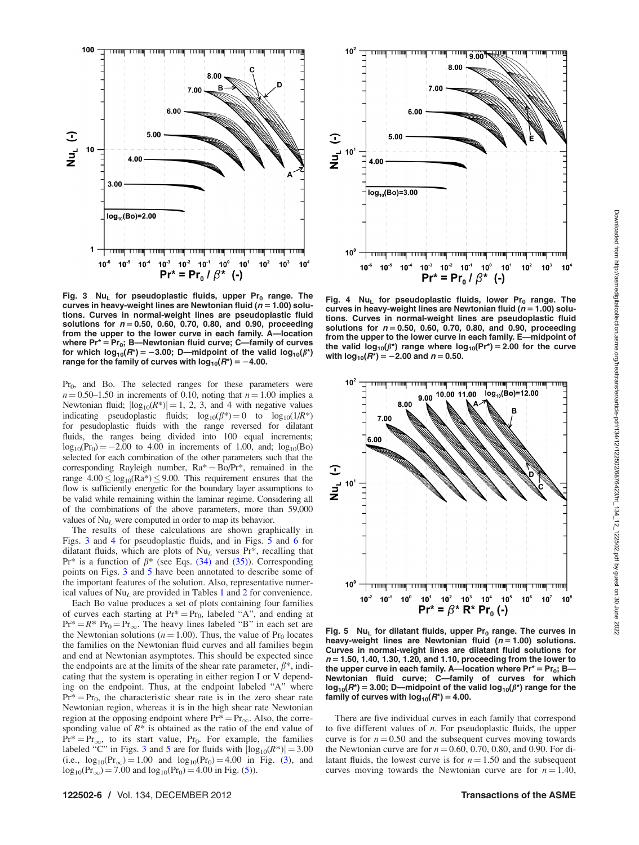<span id="page-5-0"></span>

Fig. 3  $Nu_{L}$  for pseudoplastic fluids, upper Pr<sub>0</sub> range. The curves in heavy-weight lines are Newtonian fluid ( $n = 1.00$ ) solutions. Curves in normal-weight lines are pseudoplastic fluid solutions for  $n = 0.50, 0.60, 0.70, 0.80,$  and 0.90, proceeding from the upper to the lower curve in each family. A—location where  $Pr^* = Pr_0$ ; B—Newtonian fluid curve; C—family of curves for which  $log_{10}(R^*) = -3.00$ ; D—midpoint of the valid  $log_{10}(\beta^*)$ range for the family of curves with  $log_{10}(R^*) = -4.00$ .

Pr<sub>0</sub>, and Bo. The selected ranges for these parameters were  $n = 0.50-1.50$  in increments of 0.10, noting that  $n = 1.00$  implies a Newtonian fluid;  $|\log_{10}(R^*)| = 1$ , 2, 3, and 4 with negative values indicating pseudoplastic fluids;  $log_{10}(\beta^*) = 0$  to  $log_{10}(1/R^*)$ for pesudoplastic fluids with the range reversed for dilatant fluids, the ranges being divided into 100 equal increments;  $log_{10}(Pr_0) = -2.00$  to 4.00 in increments of 1.00, and;  $log_{10}(Bo)$ selected for each combination of the other parameters such that the corresponding Rayleigh number,  $Ra^* = Bo/Pr^*$ , remained in the range  $4.00 \le \log_{10}(Ra^*) \le 9.00$ . This requirement ensures that the flow is sufficiently energetic for the boundary layer assumptions to be valid while remaining within the laminar regime. Considering all of the combinations of the above parameters, more than 59,000 values of  $Nu<sub>L</sub>$  were computed in order to map its behavior.

The results of these calculations are shown graphically in Figs. 3 and 4 for pseudoplastic fluids, and in Figs. 5 and [6](#page-6-0) for dilatant fluids, which are plots of  $Nu<sub>L</sub>$  versus Pr\*, recalling that  $Pr^*$  is a function of  $\beta^*$  (see Eqs. [\(34\)](#page-3-0) and [\(35\)\)](#page-3-0). Corresponding points on Figs. 3 and 5 have been annotated to describe some of the important features of the solution. Also, representative numerical values of  $Nu<sub>L</sub>$  are provided in Tables [1](#page-6-0) and [2](#page-7-0) for convenience.

Each Bo value produces a set of plots containing four families of curves each starting at  $Pr^* = Pr_0$ , labeled "A", and ending at  $Pr^* = R^* Pr_0 = Pr_\infty$ . The heavy lines labeled "B" in each set are the Newtonian solutions ( $n = 1.00$ ). Thus, the value of Pr<sub>0</sub> locates the families on the Newtonian fluid curves and all families begin and end at Newtonian asymptotes. This should be expected since the endpoints are at the limits of the shear rate parameter,  $\beta^*$ , indicating that the system is operating in either region I or V depending on the endpoint. Thus, at the endpoint labeled "A" where  $Pr^* = Pr_0$ , the characteristic shear rate is in the zero shear rate Newtonian region, whereas it is in the high shear rate Newtonian region at the opposing endpoint where  $Pr^* = Pr_{\infty}$ . Also, the corresponding value of  $R^*$  is obtained as the ratio of the end value of  $Pr^* = Pr_{\infty}$ , to its start value,  $Pr_0$ . For example, the families labeled "C" in Figs. 3 and 5 are for fluids with  $|\log_{10}(R^*)| = 3.00$ (i.e.,  $log_{10}(Pr_{\infty}) = 1.00$  and  $log_{10}(Pr_{0}) = 4.00$  in Fig. (3), and  $log_{10}(Pr_{\infty}) = 7.00$  and  $log_{10}(Pr_{0}) = 4.00$  in Fig. (5)).



Fig. 4  $Nu<sub>L</sub>$  for pseudoplastic fluids, lower Pr<sub>0</sub> range. The curves in heavy-weight lines are Newtonian fluid ( $n = 1.00$ ) solutions. Curves in normal-weight lines are pseudoplastic fluid solutions for  $n = 0.50, 0.60, 0.70, 0.80,$  and 0.90, proceeding from the upper to the lower curve in each family. E—midpoint of the valid  $log_{10}(\beta^*)$  range where  $log_{10}(Pr^*) = 2.00$  for the curve with  $log_{10}(R^*) = -2.00$  and  $n = 0.50$ .



Fig. 5  $Nu<sub>L</sub>$  for dilatant fluids, upper Pr<sub>0</sub> range. The curves in heavy-weight lines are Newtonian fluid ( $n = 1.00$ ) solutions. Curves in normal-weight lines are dilatant fluid solutions for  $n = 1.50, 1.40, 1.30, 1.20,$  and 1.10, proceeding from the lower to the upper curve in each family. A—location where  $Pr^* = Pr_0$ ; B— Newtonian fluid curve; C—family of curves for which  $log_{10}(R^*)$  = 3.00; D—midpoint of the valid  $log_{10}(\beta^*)$  range for the family of curves with  $log_{10}(R^*) = 4.00$ .

There are five individual curves in each family that correspond to five different values of  $n$ . For pseudoplastic fluids, the upper curve is for  $n = 0.50$  and the subsequent curves moving towards the Newtonian curve are for  $n = 0.60, 0.70, 0.80,$  and 0.90. For dilatant fluids, the lowest curve is for  $n = 1.50$  and the subsequent curves moving towards the Newtonian curve are for  $n = 1.40$ ,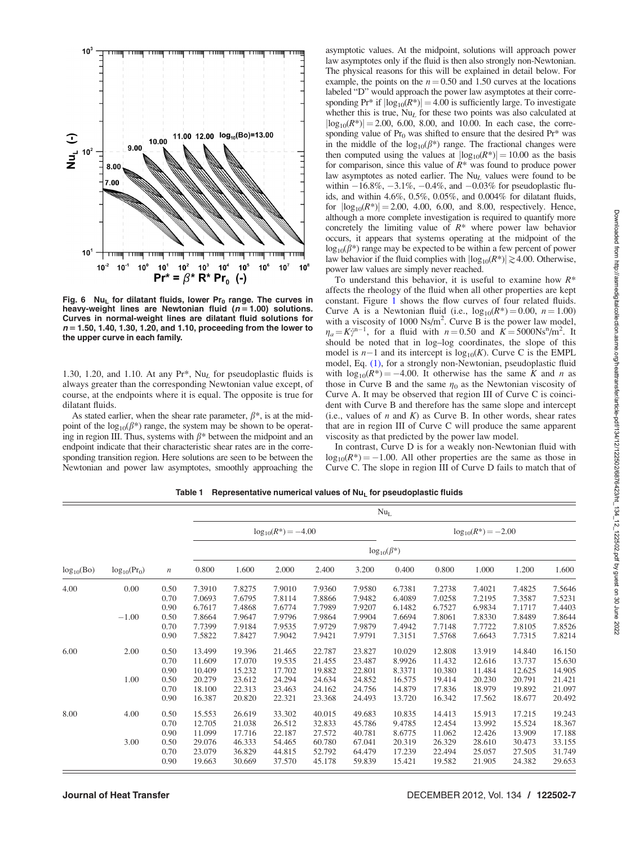

Downloaded from http://asmedigitalcollection.asme.org/heattransfer/article-pdf/134/12/122502/6876423/ht\_134\_12\_122502.pdf by guest on 30 June 2022

Downloaded from http://asmedigitalcollection.asme.org/heattransfer/art/a4/12/122502/6876423/ht\_134\_12\_122502.pdf by guest on 30 June 2022

asymptotic values. At the midpoint, solutions will approach power

power law values are simply never reached.

<span id="page-6-0"></span>

Fig. 6  $Nu<sub>L</sub>$  for dilatant fluids, lower Pr<sub>0</sub> range. The curves in heavy-weight lines are Newtonian fluid ( $n = 1.00$ ) solutions. Curves in normal-weight lines are dilatant fluid solutions for  $n = 1.50, 1.40, 1.30, 1.20,$  and 1.10, proceeding from the lower to the upper curve in each family.

1.30, 1.20, and 1.10. At any  $Pr^*$ , Nu<sub>L</sub> for pseudoplastic fluids is always greater than the corresponding Newtonian value except, of course, at the endpoints where it is equal. The opposite is true for dilatant fluids.

As stated earlier, when the shear rate parameter,  $\beta^*$ , is at the midpoint of the  $log_{10}(\beta^*)$  range, the system may be shown to be operating in region III. Thus, systems with  $\beta^*$  between the midpoint and an endpoint indicate that their characteristic shear rates are in the corresponding transition region. Here solutions are seen to be between the Newtonian and power law asymptotes, smoothly approaching the

Table 1 Representative numerical values of Nu<sub>L</sub> for pseudoplastic fluids

| $log_{10}(Bo)$ | $log_{10}(Pr_0)$ | $\boldsymbol{n}$ | Nu <sub>L</sub>          |        |        |        |        |                          |        |        |        |        |  |
|----------------|------------------|------------------|--------------------------|--------|--------|--------|--------|--------------------------|--------|--------|--------|--------|--|
|                |                  |                  | $\log_{10}(R^*) = -4.00$ |        |        |        |        | $\log_{10}(R^*) = -2.00$ |        |        |        |        |  |
|                |                  |                  | $log_{10}(\beta^*)$      |        |        |        |        |                          |        |        |        |        |  |
|                |                  |                  | 0.800                    | 1.600  | 2.000  | 2.400  | 3.200  | 0.400                    | 0.800  | 1.000  | 1.200  | 1.600  |  |
| 4.00           | 0.00             | 0.50             | 7.3910                   | 7.8275 | 7.9010 | 7.9360 | 7.9580 | 6.7381                   | 7.2738 | 7.4021 | 7.4825 | 7.5646 |  |
|                |                  | 0.70             | 7.0693                   | 7.6795 | 7.8114 | 7.8866 | 7.9482 | 6.4089                   | 7.0258 | 7.2195 | 7.3587 | 7.5231 |  |
|                |                  | 0.90             | 6.7617                   | 7.4868 | 7.6774 | 7.7989 | 7.9207 | 6.1482                   | 6.7527 | 6.9834 | 7.1717 | 7.4403 |  |
|                | $-1.00$          | 0.50             | 7.8664                   | 7.9647 | 7.9796 | 7.9864 | 7.9904 | 7.6694                   | 7.8061 | 7.8330 | 7.8489 | 7.8644 |  |
|                |                  | 0.70             | 7.7399                   | 7.9184 | 7.9535 | 7.9729 | 7.9879 | 7.4942                   | 7.7148 | 7.7722 | 7.8105 | 7.8526 |  |
|                |                  | 0.90             | 7.5822                   | 7.8427 | 7.9042 | 7.9421 | 7.9791 | 7.3151                   | 7.5768 | 7.6643 | 7.7315 | 7.8214 |  |
| 6.00           | 2.00             | 0.50             | 13.499                   | 19.396 | 21.465 | 22.787 | 23.827 | 10.029                   | 12.808 | 13.919 | 14.840 | 16.150 |  |
|                |                  | 0.70             | 11.609                   | 17.070 | 19.535 | 21.455 | 23.487 | 8.9926                   | 11.432 | 12.616 | 13.737 | 15.630 |  |
|                |                  | 0.90             | 10.409                   | 15.232 | 17.702 | 19.882 | 22.801 | 8.3371                   | 10.380 | 11.484 | 12.625 | 14.905 |  |
|                | 1.00             | 0.50             | 20.279                   | 23.612 | 24.294 | 24.634 | 24.852 | 16.575                   | 19.414 | 20.230 | 20.791 | 21.421 |  |
|                |                  | 0.70             | 18.100                   | 22.313 | 23.463 | 24.162 | 24.756 | 14.879                   | 17.836 | 18.979 | 19.892 | 21.097 |  |
|                |                  | 0.90             | 16.387                   | 20.820 | 22.321 | 23.368 | 24.493 | 13.720                   | 16.342 | 17.562 | 18.677 | 20.492 |  |
| 8.00           | 4.00             | 0.50             | 15.553                   | 26.619 | 33.302 | 40.015 | 49.683 | 10.835                   | 14.413 | 15.913 | 17.215 | 19.243 |  |
|                |                  | 0.70             | 12.705                   | 21.038 | 26.512 | 32.833 | 45.786 | 9.4785                   | 12.454 | 13.992 | 15.524 | 18.367 |  |
|                |                  | 0.90             | 11.099                   | 17.716 | 22.187 | 27.572 | 40.781 | 8.6775                   | 11.062 | 12.426 | 13.909 | 17.188 |  |
|                | 3.00             | 0.50             | 29.076                   | 46.333 | 54.465 | 60.780 | 67.041 | 20.319                   | 26.329 | 28.610 | 30.473 | 33.155 |  |
|                |                  | 0.70             | 23.079                   | 36.829 | 44.815 | 52.792 | 64.479 | 17.239                   | 22.494 | 25.057 | 27.505 | 31.749 |  |
|                |                  | 0.90             | 19.663                   | 30.669 | 37.570 | 45.178 | 59.839 | 15.421                   | 19.582 | 21.905 | 24.382 | 29.653 |  |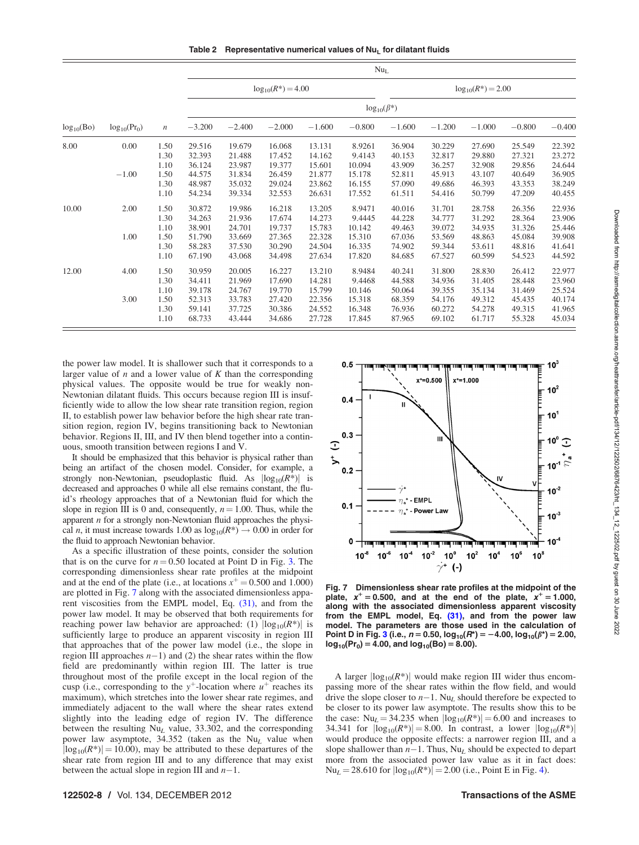Table 2 Representative numerical values of  $Nu<sub>L</sub>$  for dilatant fluids

<span id="page-7-0"></span>

| $log_{10}(Bo)$ | $log_{10}(Pr_0)$ |                  | Nu <sub>L</sub> |          |                        |          |                     |                        |          |          |          |          |  |
|----------------|------------------|------------------|-----------------|----------|------------------------|----------|---------------------|------------------------|----------|----------|----------|----------|--|
|                |                  |                  |                 |          | $log_{10}(R^*) = 4.00$ |          |                     | $log_{10}(R^*) = 2.00$ |          |          |          |          |  |
|                |                  |                  |                 |          |                        |          | $log_{10}(\beta^*)$ |                        |          |          |          |          |  |
|                |                  | $\boldsymbol{n}$ | $-3.200$        | $-2.400$ | $-2.000$               | $-1.600$ | $-0.800$            | $-1.600$               | $-1.200$ | $-1.000$ | $-0.800$ | $-0.400$ |  |
| 8.00           | 0.00             | 1.50             | 29.516          | 19.679   | 16.068                 | 13.131   | 8.9261              | 36.904                 | 30.229   | 27.690   | 25.549   | 22.392   |  |
|                |                  | 1.30             | 32.393          | 21.488   | 17.452                 | 14.162   | 9.4143              | 40.153                 | 32.817   | 29.880   | 27.321   | 23.272   |  |
|                |                  | 1.10             | 36.124          | 23.987   | 19.377                 | 15.601   | 10.094              | 43.909                 | 36.257   | 32.908   | 29.856   | 24.644   |  |
|                | $-1.00$          | 1.50             | 44.575          | 31.834   | 26.459                 | 21.877   | 15.178              | 52.811                 | 45.913   | 43.107   | 40.649   | 36.905   |  |
|                |                  | 1.30             | 48.987          | 35.032   | 29.024                 | 23.862   | 16.155              | 57.090                 | 49.686   | 46.393   | 43.353   | 38.249   |  |
|                |                  | 1.10             | 54.234          | 39.334   | 32.553                 | 26.631   | 17.552              | 61.511                 | 54.416   | 50.799   | 47.209   | 40.455   |  |
| 10.00          | 2.00             | 1.50             | 30.872          | 19.986   | 16.218                 | 13.205   | 8.9471              | 40.016                 | 31.701   | 28.758   | 26.356   | 22.936   |  |
|                |                  | 1.30             | 34.263          | 21.936   | 17.674                 | 14.273   | 9.4445              | 44.228                 | 34.777   | 31.292   | 28.364   | 23.906   |  |
|                |                  | 1.10             | 38.901          | 24.701   | 19.737                 | 15.783   | 10.142              | 49.463                 | 39.072   | 34.935   | 31.326   | 25.446   |  |
|                | 1.00             | 1.50             | 51.790          | 33.669   | 27.365                 | 22.328   | 15.310              | 67.036                 | 53.569   | 48.863   | 45.084   | 39.908   |  |
|                |                  | 1.30             | 58.283          | 37.530   | 30.290                 | 24.504   | 16.335              | 74.902                 | 59.344   | 53.611   | 48.816   | 41.641   |  |
|                |                  | 1.10             | 67.190          | 43.068   | 34.498                 | 27.634   | 17.820              | 84.685                 | 67.527   | 60.599   | 54.523   | 44.592   |  |
| 12.00          | 4.00             | 1.50             | 30.959          | 20.005   | 16.227                 | 13.210   | 8.9484              | 40.241                 | 31.800   | 28.830   | 26.412   | 22.977   |  |
|                |                  | 1.30             | 34.411          | 21.969   | 17.690                 | 14.281   | 9.4468              | 44.588                 | 34.936   | 31.405   | 28.448   | 23.960   |  |
|                |                  | 1.10             | 39.178          | 24.767   | 19.770                 | 15.799   | 10.146              | 50.064                 | 39.355   | 35.134   | 31.469   | 25.524   |  |
|                | 3.00             | 1.50             | 52.313          | 33.783   | 27.420                 | 22.356   | 15.318              | 68.359                 | 54.176   | 49.312   | 45.435   | 40.174   |  |
|                |                  | 1.30             | 59.141          | 37.725   | 30.386                 | 24.552   | 16.348              | 76.936                 | 60.272   | 54.278   | 49.315   | 41.965   |  |
|                |                  | 1.10             | 68.733          | 43.444   | 34.686                 | 27.728   | 17.845              | 87.965                 | 69.102   | 61.717   | 55.328   | 45.034   |  |

the power law model. It is shallower such that it corresponds to a larger value of  $n$  and a lower value of  $K$  than the corresponding physical values. The opposite would be true for weakly non-Newtonian dilatant fluids. This occurs because region III is insufficiently wide to allow the low shear rate transition region, region II, to establish power law behavior before the high shear rate transition region, region IV, begins transitioning back to Newtonian behavior. Regions II, III, and IV then blend together into a continuous, smooth transition between regions I and V.

It should be emphasized that this behavior is physical rather than being an artifact of the chosen model. Consider, for example, a strongly non-Newtonian, pseudoplastic fluid. As  $|\log_{10}(R^*)|$  is decreased and approaches 0 while all else remains constant, the fluid's rheology approaches that of a Newtonian fluid for which the slope in region III is 0 and, consequently,  $n = 1.00$ . Thus, while the apparent  $n$  for a strongly non-Newtonian fluid approaches the physical *n*, it must increase towards 1.00 as  $log_{10}(R^*) \rightarrow 0.00$  in order for the fluid to approach Newtonian behavior.

As a specific illustration of these points, consider the solution that is on the curve for  $n = 0.50$  located at Point D in Fig. [3.](#page-5-0) The corresponding dimensionless shear rate profiles at the midpoint and at the end of the plate (i.e., at locations  $x^+=0.500$  and 1.000) are plotted in Fig. 7 along with the associated dimensionless apparent viscosities from the EMPL model, Eq. [\(31\)](#page-3-0), and from the power law model. It may be observed that both requirements for reaching power law behavior are approached: (1)  $\log_{10}(R^*)$  is sufficiently large to produce an apparent viscosity in region III that approaches that of the power law model (i.e., the slope in region III approaches  $n-1$ ) and (2) the shear rates within the flow field are predominantly within region III. The latter is true throughout most of the profile except in the local region of the cusp (i.e., corresponding to the  $y^+$ -location where  $u^+$  reaches its maximum), which stretches into the lower shear rate regimes, and immediately adjacent to the wall where the shear rates extend slightly into the leading edge of region IV. The difference between the resulting  $Nu<sub>L</sub>$  value, 33.302, and the corresponding power law asymptote,  $34.352$  (taken as the Nu<sub>L</sub> value when  $|\log_{10}(R^*)| = 10.00$ , may be attributed to these departures of the shear rate from region III and to any difference that may exist between the actual slope in region III and  $n-1$ .



Fig. 7 Dimensionless shear rate profiles at the midpoint of the plate,  $x^+=0.500$ , and at the end of the plate,  $x^+=1.000$ , along with the associated dimensionless apparent viscosity from the EMPL model, Eq.  $(31)$ , and from the power law model. The parameters are those used in the calculation of Point D in Fig. [3](#page-5-0) (i.e.,  $n = 0.50$ ,  $log_{10}(R^*) = -4.00$ ,  $log_{10}(\beta^*) = 2.00$ ,  $log_{10}(Pr_0) = 4.00$ , and  $log_{10}(Bo) = 8.00$ .

A larger  $\lvert \log_{10}(R^*) \rvert$  would make region III wider thus encompassing more of the shear rates within the flow field, and would drive the slope closer to  $n-1$ . Nu<sub>L</sub> should therefore be expected to be closer to its power law asymptote. The results show this to be the case:  $Nu_L = 34.235$  when  $\left| \log_{10}(R^*) \right| = 6.00$  and increases to 34.341 for  $|\log_{10}(R^*)| = 8.00$ . In contrast, a lower  $|\log_{10}(R^*)|$ would produce the opposite effects: a narrower region III, and a slope shallower than  $n-1$ . Thus, Nu<sub>L</sub> should be expected to depart more from the associated power law value as it in fact does:  $Nu_L = 28.610$  for  $|log_{10}(R^*)| = 2.00$  (i.e., Point E in Fig. [4](#page-5-0)).